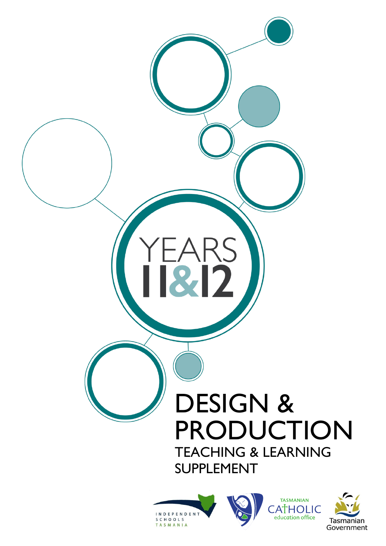







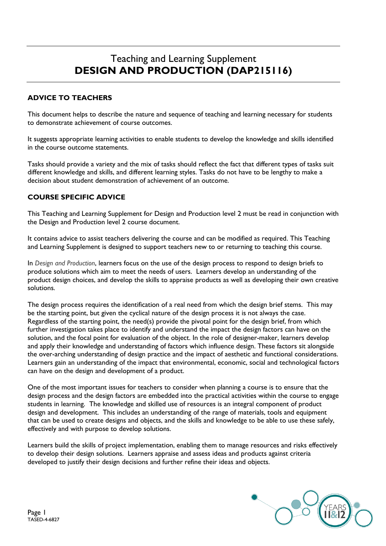# Teaching and Learning Supplement **DESIGN AND PRODUCTION (DAP215116)**

# **ADVICE TO TEACHERS**

This document helps to describe the nature and sequence of teaching and learning necessary for students to demonstrate achievement of course outcomes.

It suggests appropriate learning activities to enable students to develop the knowledge and skills identified in the course outcome statements.

Tasks should provide a variety and the mix of tasks should reflect the fact that different types of tasks suit different knowledge and skills, and different learning styles. Tasks do not have to be lengthy to make a decision about student demonstration of achievement of an outcome.

### **COURSE SPECIFIC ADVICE**

This Teaching and Learning Supplement for Design and Production level 2 must be read in conjunction with the Design and Production level 2 course document.

It contains advice to assist teachers delivering the course and can be modified as required. This Teaching and Learning Supplement is designed to support teachers new to or returning to teaching this course.

In *Design and Production*, learners focus on the use of the design process to respond to design briefs to produce solutions which aim to meet the needs of users. Learners develop an understanding of the product design choices, and develop the skills to appraise products as well as developing their own creative solutions.

The design process requires the identification of a real need from which the design brief stems. This may be the starting point, but given the cyclical nature of the design process it is not always the case. Regardless of the starting point, the need(s) provide the pivotal point for the design brief, from which further investigation takes place to identify and understand the impact the design factors can have on the solution, and the focal point for evaluation of the object. In the role of designer-maker, learners develop and apply their knowledge and understanding of factors which influence design. These factors sit alongside the over-arching understanding of design practice and the impact of aesthetic and functional considerations. Learners gain an understanding of the impact that environmental, economic, social and technological factors can have on the design and development of a product.

One of the most important issues for teachers to consider when planning a course is to ensure that the design process and the design factors are embedded into the practical activities within the course to engage students in learning. The knowledge and skilled use of resources is an integral component of product design and development. This includes an understanding of the range of materials, tools and equipment that can be used to create designs and objects, and the skills and knowledge to be able to use these safely, effectively and with purpose to develop solutions.

Learners build the skills of project implementation, enabling them to manage resources and risks effectively to develop their design solutions. Learners appraise and assess ideas and products against criteria developed to justify their design decisions and further refine their ideas and objects.

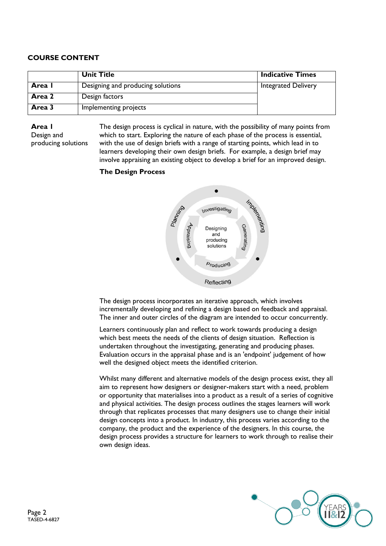# **COURSE CONTENT**

|        | <b>Unit Title</b>                 | <b>Indicative Times</b>    |
|--------|-----------------------------------|----------------------------|
| Area I | Designing and producing solutions | <b>Integrated Delivery</b> |
| Area 2 | Design factors                    |                            |
| Area 3 | Implementing projects             |                            |

**Area 1** Design and producing solutions The design process is cyclical in nature, with the possibility of many points from which to start. Exploring the nature of each phase of the process is essential, with the use of design briefs with a range of starting points, which lead in to learners developing their own design briefs. For example, a design brief may involve appraising an existing object to develop a brief for an improved design.

### **The Design Process**



The design process incorporates an iterative approach, which involves incrementally developing and refining a design based on feedback and appraisal. The inner and outer circles of the diagram are intended to occur concurrently.

Learners continuously plan and reflect to work towards producing a design which best meets the needs of the clients of design situation. Reflection is undertaken throughout the investigating, generating and producing phases. Evaluation occurs in the appraisal phase and is an 'endpoint' judgement of how well the designed object meets the identified criterion.

Whilst many different and alternative models of the design process exist, they all aim to represent how designers or designer-makers start with a need, problem or opportunity that materialises into a product as a result of a series of cognitive and physical activities. The design process outlines the stages learners will work through that replicates processes that many designers use to change their initial design concepts into a product. In industry, this process varies according to the company, the product and the experience of the designers. In this course, the design process provides a structure for learners to work through to realise their own design ideas.

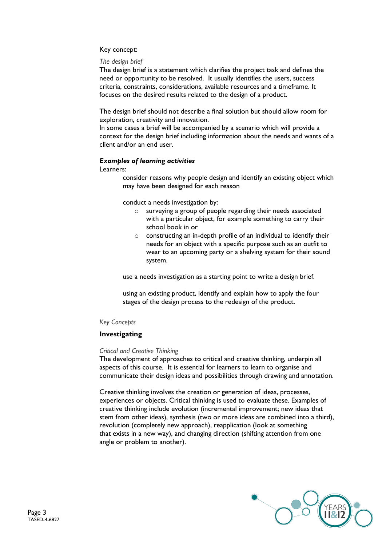### Key concept:

#### *The design brief*

The design brief is a statement which clarifies the project task and defines the need or opportunity to be resolved. It usually identifies the users, success criteria, constraints, considerations, available resources and a timeframe. It focuses on the desired results related to the design of a product.

The design brief should not describe a final solution but should allow room for exploration, creativity and innovation.

In some cases a brief will be accompanied by a scenario which will provide a context for the design brief including information about the needs and wants of a client and/or an end user.

### *Examples of learning activities*

Learners:

consider reasons why people design and identify an existing object which may have been designed for each reason

conduct a needs investigation by:

- o surveying a group of people regarding their needs associated with a particular object, for example something to carry their school book in or
- o constructing an in-depth profile of an individual to identify their needs for an object with a specific purpose such as an outfit to wear to an upcoming party or a shelving system for their sound system.

use a needs investigation as a starting point to write a design brief.

using an existing product, identify and explain how to apply the four stages of the design process to the redesign of the product.

### *Key Concepts*

### **Investigating**

#### *Critical and Creative Thinking*

The development of approaches to critical and creative thinking, underpin all aspects of this course. It is essential for learners to learn to organise and communicate their design ideas and possibilities through drawing and annotation.

Creative thinking involves the creation or generation of ideas, processes, experiences or objects. Critical thinking is used to evaluate these. Examples of creative thinking include evolution (incremental improvement; new ideas that stem from other ideas), synthesis (two or more ideas are combined into a third), revolution (completely new approach), reapplication (look at something that exists in a new way), and changing direction (shifting attention from one angle or problem to another).

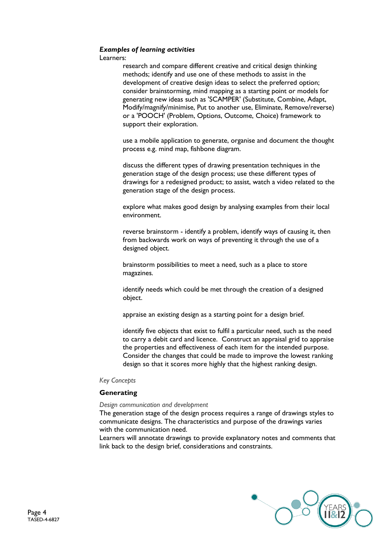#### *Examples of learning activities*

Learners:

research and compare different creative and critical design thinking methods; identify and use one of these methods to assist in the development of creative design ideas to select the preferred option; consider brainstorming, mind mapping as a starting point or models for generating new ideas such as 'SCAMPER' (Substitute, Combine, Adapt, Modify/magnify/minimise, Put to another use, Eliminate, Remove/reverse) or a 'POOCH' (Problem, Options, Outcome, Choice) framework to support their exploration.

use a mobile application to generate, organise and document the thought process e.g. mind map, fishbone diagram.

discuss the different types of drawing presentation techniques in the generation stage of the design process; use these different types of drawings for a redesigned product; to assist, watch a video related to the generation stage of the design process.

explore what makes good design by analysing examples from their local environment.

reverse brainstorm - identify a problem, identify ways of causing it, then from backwards work on ways of preventing it through the use of a designed object.

brainstorm possibilities to meet a need, such as a place to store magazines.

identify needs which could be met through the creation of a designed object.

appraise an existing design as a starting point for a design brief.

identify five objects that exist to fulfil a particular need, such as the need to carry a debit card and licence. Construct an appraisal grid to appraise the properties and effectiveness of each item for the intended purpose. Consider the changes that could be made to improve the lowest ranking design so that it scores more highly that the highest ranking design.

#### *Key Concepts*

#### **Generating**

#### *Design communication and development*

The generation stage of the design process requires a range of drawings styles to communicate designs. The characteristics and purpose of the drawings varies with the communication need.

Learners will annotate drawings to provide explanatory notes and comments that link back to the design brief, considerations and constraints.

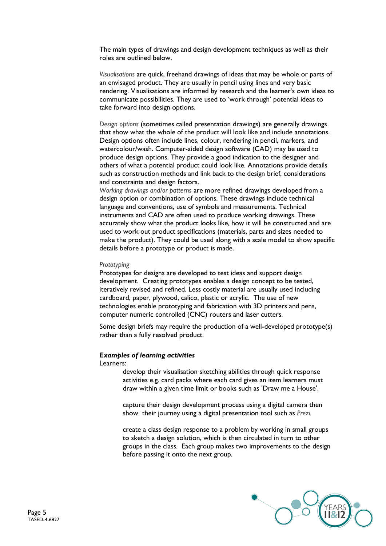The main types of drawings and design development techniques as well as their roles are outlined below.

*Visualisations* are quick, freehand drawings of ideas that may be whole or parts of an envisaged product. They are usually in pencil using lines and very basic rendering. Visualisations are informed by research and the learner's own ideas to communicate possibilities. They are used to 'work through' potential ideas to take forward into design options.

*Design options* (sometimes called presentation drawings) are generally drawings that show what the whole of the product will look like and include annotations. Design options often include lines, colour, rendering in pencil, markers, and watercolour/wash. Computer-aided design software (CAD) may be used to produce design options. They provide a good indication to the designer and others of what a potential product could look like. Annotations provide details such as construction methods and link back to the design brief, considerations and constraints and design factors.

*Working drawings and/or patterns* are more refined drawings developed from a design option or combination of options. These drawings include technical language and conventions, use of symbols and measurements. Technical instruments and CAD are often used to produce working drawings. These accurately show what the product looks like, how it will be constructed and are used to work out product specifications (materials, parts and sizes needed to make the product). They could be used along with a scale model to show specific details before a prototype or product is made.

#### *Prototyping*

Prototypes for designs are developed to test ideas and support design development. Creating prototypes enables a design concept to be tested, iteratively revised and refined. Less costly material are usually used including cardboard, paper, plywood, calico, plastic or acrylic. The use of new technologies enable prototyping and fabrication with 3D printers and pens, computer numeric controlled (CNC) routers and laser cutters.

Some design briefs may require the production of a well-developed prototype(s) rather than a fully resolved product.

#### *Examples of learning activities*

Learners:

develop their visualisation sketching abilities through quick response activities e.g. card packs where each card gives an item learners must draw within a given time limit or books such as 'Draw me a House'.

capture their design development process using a digital camera then show their journey using a digital presentation tool such as *Prezi.*

create a class design response to a problem by working in small groups to sketch a design solution, which is then circulated in turn to other groups in the class. Each group makes two improvements to the design before passing it onto the next group.

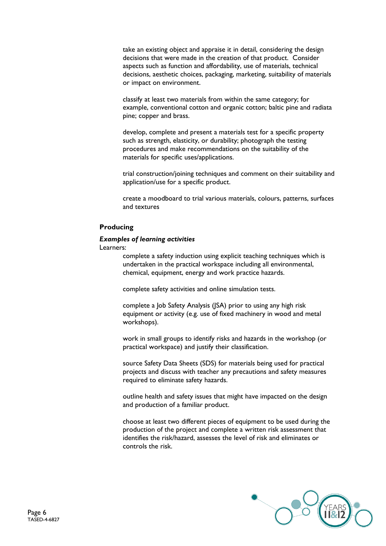take an existing object and appraise it in detail, considering the design decisions that were made in the creation of that product. Consider aspects such as function and affordability, use of materials, technical decisions, aesthetic choices, packaging, marketing, suitability of materials or impact on environment.

classify at least two materials from within the same category; for example, conventional cotton and organic cotton; baltic pine and radiata pine; copper and brass.

develop, complete and present a materials test for a specific property such as strength, elasticity, or durability; photograph the testing procedures and make recommendations on the suitability of the materials for specific uses/applications.

trial construction/joining techniques and comment on their suitability and application/use for a specific product.

create a moodboard to trial various materials, colours, patterns, surfaces and textures

#### **Producing**

#### *Examples of learning activities*

Learners:

complete a safety induction using explicit teaching techniques which is undertaken in the practical workspace including all environmental, chemical, equipment, energy and work practice hazards.

complete safety activities and online simulation tests.

complete a Job Safety Analysis (JSA) prior to using any high risk equipment or activity (e.g. use of fixed machinery in wood and metal workshops).

work in small groups to identify risks and hazards in the workshop (or practical workspace) and justify their classification.

source Safety Data Sheets (SDS) for materials being used for practical projects and discuss with teacher any precautions and safety measures required to eliminate safety hazards.

outline health and safety issues that might have impacted on the design and production of a familiar product.

choose at least two different pieces of equipment to be used during the production of the project and complete a written risk assessment that identifies the risk/hazard, assesses the level of risk and eliminates or controls the risk.

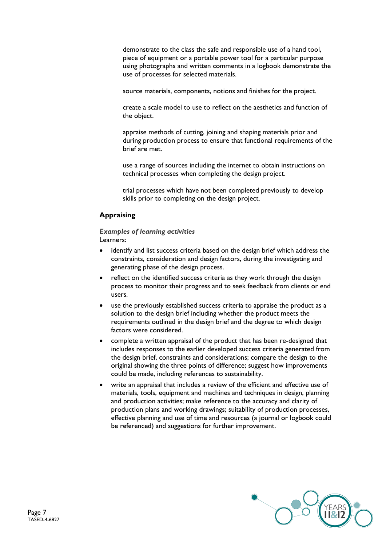demonstrate to the class the safe and responsible use of a hand tool, piece of equipment or a portable power tool for a particular purpose using photographs and written comments in a logbook demonstrate the use of processes for selected materials.

source materials, components, notions and finishes for the project.

create a scale model to use to reflect on the aesthetics and function of the object.

appraise methods of cutting, joining and shaping materials prior and during production process to ensure that functional requirements of the brief are met.

use a range of sources including the internet to obtain instructions on technical processes when completing the design project.

trial processes which have not been completed previously to develop skills prior to completing on the design project.

### **Appraising**

*Examples of learning activities*  Learners:

- identify and list success criteria based on the design brief which address the constraints, consideration and design factors, during the investigating and generating phase of the design process.
- reflect on the identified success criteria as they work through the design process to monitor their progress and to seek feedback from clients or end users.
- use the previously established success criteria to appraise the product as a solution to the design brief including whether the product meets the requirements outlined in the design brief and the degree to which design factors were considered.
- complete a written appraisal of the product that has been re-designed that includes responses to the earlier developed success criteria generated from the design brief, constraints and considerations; compare the design to the original showing the three points of difference; suggest how improvements could be made, including references to sustainability.
- write an appraisal that includes a review of the efficient and effective use of materials, tools, equipment and machines and techniques in design, planning and production activities; make reference to the accuracy and clarity of production plans and working drawings; suitability of production processes, effective planning and use of time and resources (a journal or logbook could be referenced) and suggestions for further improvement.

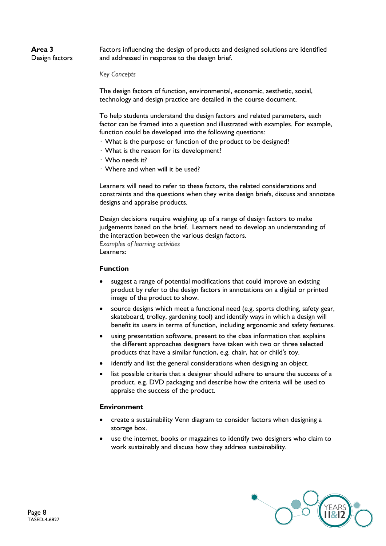# **Area 3** Design factors

Factors influencing the design of products and designed solutions are identified and addressed in response to the design brief.

*Key Concepts*

The design factors of function, environmental, economic, aesthetic, social, technology and design practice are detailed in the course document.

To help students understand the design factors and related parameters, each factor can be framed into a question and illustrated with examples. For example, function could be developed into the following questions:

- What is the purpose or function of the product to be designed?
- What is the reason for its development?
- Who needs it?
- Where and when will it be used?

Learners will need to refer to these factors, the related considerations and constraints and the questions when they write design briefs, discuss and annotate designs and appraise products.

Design decisions require weighing up of a range of design factors to make judgements based on the brief. Learners need to develop an understanding of the interaction between the various design factors. *Examples of learning activities* Learners:

#### **Function**

- suggest a range of potential modifications that could improve an existing product by refer to the design factors in annotations on a digital or printed image of the product to show.
- source designs which meet a functional need (e.g. sports clothing, safety gear, skateboard, trolley, gardening tool) and identify ways in which a design will benefit its users in terms of function, including ergonomic and safety features.
- using presentation software, present to the class information that explains the different approaches designers have taken with two or three selected products that have a similar function, e.g. chair, hat or child's toy.
- identify and list the general considerations when designing an object.
- list possible criteria that a designer should adhere to ensure the success of a product, e.g. DVD packaging and describe how the criteria will be used to appraise the success of the product.

### **Environment**

- create a sustainability Venn diagram to consider factors when designing a storage box.
- use the internet, books or magazines to identify two designers who claim to work sustainably and discuss how they address sustainability.

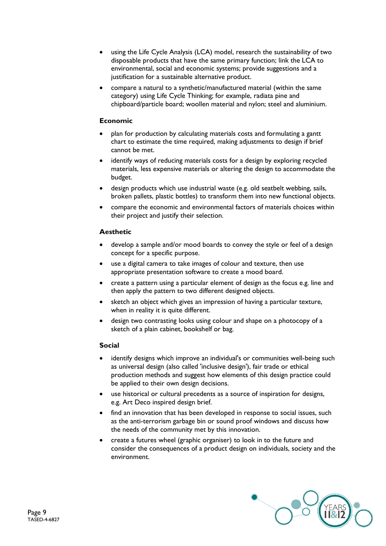- using the Life Cycle Analysis (LCA) model, research the sustainability of two disposable products that have the same primary function; link the LCA to environmental, social and economic systems; provide suggestions and a justification for a sustainable alternative product.
- compare a natural to a synthetic/manufactured material (within the same category) using Life Cycle Thinking; for example, radiata pine and chipboard/particle board; woollen material and nylon; steel and aluminium.

# **Economic**

- plan for production by calculating materials costs and formulating a gantt chart to estimate the time required, making adjustments to design if brief cannot be met.
- identify ways of reducing materials costs for a design by exploring recycled materials, less expensive materials or altering the design to accommodate the budget.
- design products which use industrial waste (e.g. old seatbelt webbing, sails, broken pallets, plastic bottles) to transform them into new functional objects.
- compare the economic and environmental factors of materials choices within their project and justify their selection.

# **Aesthetic**

- develop a sample and/or mood boards to convey the style or feel of a design concept for a specific purpose.
- use a digital camera to take images of colour and texture, then use appropriate presentation software to create a mood board.
- create a pattern using a particular element of design as the focus e.g. line and then apply the pattern to two different designed objects.
- sketch an object which gives an impression of having a particular texture, when in reality it is quite different.
- design two contrasting looks using colour and shape on a photocopy of a sketch of a plain cabinet, bookshelf or bag.

### **Social**

- identify designs which improve an individual's or communities well-being such as universal design (also called 'inclusive design'), fair trade or ethical production methods and suggest how elements of this design practice could be applied to their own design decisions.
- use historical or cultural precedents as a source of inspiration for designs, e.g. Art Deco inspired design brief.
- find an innovation that has been developed in response to social issues, such as the anti-terrorism garbage bin or sound proof windows and discuss how the needs of the community met by this innovation.
- create a futures wheel (graphic organiser) to look in to the future and consider the consequences of a product design on individuals, society and the environment.

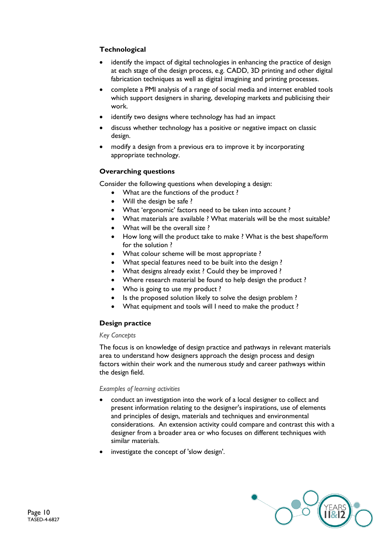# **Technological**

- identify the impact of digital technologies in enhancing the practice of design at each stage of the design process, e.g. CADD, 3D printing and other digital fabrication techniques as well as digital imagining and printing processes.
- complete a PMI analysis of a range of social media and internet enabled tools which support designers in sharing, developing markets and publicising their work.
- identify two designs where technology has had an impact
- discuss whether technology has a positive or negative impact on classic design.
- modify a design from a previous era to improve it by incorporating appropriate technology.

### **Overarching questions**

Consider the following questions when developing a design:

- What are the functions of the product ?
- Will the design be safe?
- What 'ergonomic' factors need to be taken into account ?
- What materials are available ? What materials will be the most suitable?
- What will be the overall size?
- How long will the product take to make ? What is the best shape/form for the solution ?
- What colour scheme will be most appropriate ?
- What special features need to be built into the design ?
- What designs already exist ? Could they be improved ?
- Where research material be found to help design the product ?
- Who is going to use my product?
- Is the proposed solution likely to solve the design problem ?
- What equipment and tools will I need to make the product ?

# **Design practice**

#### *Key Concepts*

The focus is on knowledge of design practice and pathways in relevant materials area to understand how designers approach the design process and design factors within their work and the numerous study and career pathways within the design field.

#### *Examples of learning activities*

- conduct an investigation into the work of a local designer to collect and present information relating to the designer's inspirations, use of elements and principles of design, materials and techniques and environmental considerations. An extension activity could compare and contrast this with a designer from a broader area or who focuses on different techniques with similar materials.
- investigate the concept of 'slow design'.

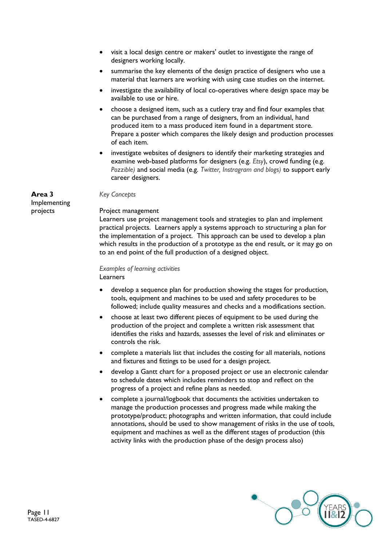- visit a local design centre or makers' outlet to investigate the range of designers working locally.
- summarise the key elements of the design practice of designers who use a material that learners are working with using case studies on the internet.
- investigate the availability of local co-operatives where design space may be available to use or hire.
- choose a designed item, such as a cutlery tray and find four examples that can be purchased from a range of designers, from an individual, hand produced item to a mass produced item found in a department store. Prepare a poster which compares the likely design and production processes of each item.
- investigate websites of designers to identify their marketing strategies and examine web-based platforms for designers (e.g. *Etsy*), crowd funding (e.g. *Pozzible)* and social media (e.g. *Twitter, Instragram and blogs)* to support early career designers.

#### **Area 3**

Implementing projects

#### *Key Concepts*

#### Project management

Learners use project management tools and strategies to plan and implement practical projects. Learners apply a systems approach to structuring a plan for the implementation of a project. This approach can be used to develop a plan which results in the production of a prototype as the end result, or it may go on to an end point of the full production of a designed object.

#### *Examples of learning activities*  Learners

- develop a sequence plan for production showing the stages for production, tools, equipment and machines to be used and safety procedures to be followed; include quality measures and checks and a modifications section.
- choose at least two different pieces of equipment to be used during the production of the project and complete a written risk assessment that identifies the risks and hazards, assesses the level of risk and eliminates or controls the risk.
- complete a materials list that includes the costing for all materials, notions and fixtures and fittings to be used for a design project.
- develop a Gantt chart for a proposed project or use an electronic calendar to schedule dates which includes reminders to stop and reflect on the progress of a project and refine plans as needed.
- complete a journal/logbook that documents the activities undertaken to manage the production processes and progress made while making the prototype/product; photographs and written information, that could include annotations, should be used to show management of risks in the use of tools, equipment and machines as well as the different stages of production (this activity links with the production phase of the design process also)

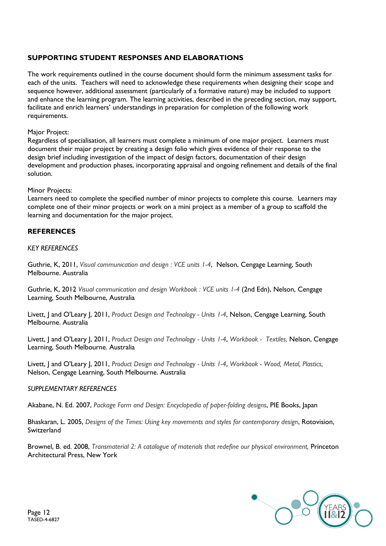# **SUPPORTING STUDENT RESPONSES AND ELABORATIONS**

The work requirements outlined in the course document should form the minimum assessment tasks for each of the units. Teachers will need to acknowledge these requirements when designing their scope and sequence however, additional assessment (particularly of a formative nature) may be included to support and enhance the learning program. The learning activities, described in the preceding section, may support, facilitate and enrich learners' understandings in preparation for completion of the following work requirements.

### Major Project:

Regardless of specialisation, all learners must complete a minimum of one major project. Learners must document their major project by creating a design folio which gives evidence of their response to the design brief including investigation of the impact of design factors, documentation of their design development and production phases, incorporating appraisal and ongoing refinement and details of the final solution.

#### Minor Projects:

Learners need to complete the specified number of minor projects to complete this course. Learners may complete one of their minor projects or work on a mini project as a member of a group to scaffold the learning and documentation for the major project.

# **REFERENCES**

#### *KEY REFERENCES*

Guthrie, K, 2011, *Visual communication and design : VCE units 1-4*, Nelson, Cengage Learning, South Melbourne. Australia

Guthrie, K, 2012 *Visual communication and design Workbook : VCE units 1-4* (2nd Edn), Nelson, Cengage Learning, South Melbourne, Australia

Livett, J and O'Leary J, 2011, *Product Design and Technology - Units 1-4*, Nelson, Cengage Learning, South Melbourne. Australia

Livett, J and O'Leary J, 2011, *Product Design and Technology - Units 1-4*, *Workbook - Textiles,* Nelson, Cengage Learning, South Melbourne. Australia

Livett, J and O'Leary J, 2011, *Product Design and Technology - Units 1-4*, *Workbook - Wood, Metal, Plastics,* Nelson, Cengage Learning, South Melbourne. Australia

#### *SUPPLEMENTARY REFERENCES*

Akabane, N. Ed. 2007, *Package Form and Design: Encyclopedia of paper-folding designs*, PIE Books, Japan

Bhaskaran, L. 2005, *Designs of the Times: Using key movements and styles for contemporary design*, Rotovision, **Switzerland** 

Brownel, B. ed. 2008, *Transmaterial 2: A catalogue of materials that redefine our physical environment,* Princeton Architectural Press, New York

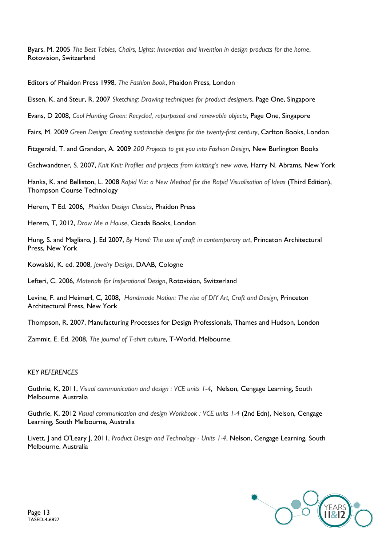Byars, M. 2005 *The Best Tables, Chairs, Lights: Innovation and invention in design products for the home*, Rotovision, Switzerland

Editors of Phaidon Press 1998, *The Fashion Book*, Phaidon Press, London

Eissen, K. and Steur, R. 2007 *Sketching: Drawing techniques for product designers*, Page One, Singapore

Evans, D 2008, *Cool Hunting Green: Recycled, repurposed and renewable objects*, Page One, Singapore

Fairs, M. 2009 *Green Design: Creating sustainable designs for the twenty-first century*, Carlton Books, London

Fitzgerald, T. and Grandon, A. 2009 *200 Projects to get you into Fashion Design*, New Burlington Books

Gschwandtner, S. 2007, *Knit Knit: Profiles and projects from knitting's new wave*, Harry N. Abrams, New York

Hanks, K. and Belliston, L. 2008 *Rapid Viz: a New Method for the Rapid Visualisation of Ideas* (Third Edition), Thompson Course Technology

Herem, T Ed. 2006, *Phaidon Design Classics*, Phaidon Press

Herem, T, 2012, *Draw Me a House*, Cicada Books, London

Hung, S. and Magliaro, J. Ed 2007, *By Hand: The use of craft in contemporary art*, Princeton Architectural Press, New York

Kowalski, K. ed. 2008, *Jewelry Design*, DAAB, Cologne

Lefteri, C. 2006, *Materials for Inspirational Design*, Rotovision, Switzerland

Levine, F. and Heimerl, C, 2008, *Handmade Nation: The rise of DIY Art, Craft and Design,* Princeton Architectural Press, New York

Thompson, R. 2007, Manufacturing Processes for Design Professionals, Thames and Hudson, London

Zammit, E. Ed. 2008, *The journal of T-shirt culture*, T-World, Melbourne.

### *KEY REFERENCES*

Guthrie, K, 2011, *Visual communication and design : VCE units 1-4*, Nelson, Cengage Learning, South Melbourne. Australia

Guthrie, K, 2012 *Visual communication and design Workbook : VCE units 1-4* (2nd Edn), Nelson, Cengage Learning, South Melbourne, Australia

Livett, J and O'Leary J, 2011, *Product Design and Technology - Units 1-4*, Nelson, Cengage Learning, South Melbourne. Australia

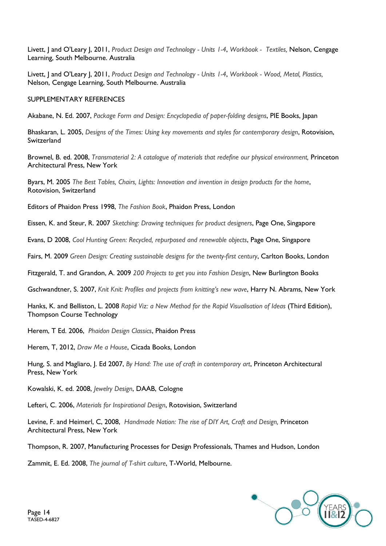Livett, J and O'Leary J, 2011, *Product Design and Technology - Units 1-4*, *Workbook - Textiles,* Nelson, Cengage Learning, South Melbourne. Australia

Livett, J and O'Leary J, 2011, *Product Design and Technology - Units 1-4*, *Workbook - Wood, Metal, Plastics,* Nelson, Cengage Learning, South Melbourne. Australia

#### SUPPLEMENTARY REFERENCES

Akabane, N. Ed. 2007, *Package Form and Design: Encyclopedia of paper-folding designs*, PIE Books, Japan

Bhaskaran, L. 2005, *Designs of the Times: Using key movements and styles for contemporary design*, Rotovision, Switzerland

Brownel, B. ed. 2008, *Transmaterial 2: A catalogue of materials that redefine our physical environment,* Princeton Architectural Press, New York

Byars, M. 2005 *The Best Tables, Chairs, Lights: Innovation and invention in design products for the home*, Rotovision, Switzerland

Editors of Phaidon Press 1998, *The Fashion Book*, Phaidon Press, London

Eissen, K. and Steur, R. 2007 *Sketching: Drawing techniques for product designers*, Page One, Singapore

Evans, D 2008, *Cool Hunting Green: Recycled, repurposed and renewable objects*, Page One, Singapore

Fairs, M. 2009 *Green Design: Creating sustainable designs for the twenty-first century*, Carlton Books, London

Fitzgerald, T. and Grandon, A. 2009 *200 Projects to get you into Fashion Design*, New Burlington Books

Gschwandtner, S. 2007, *Knit Knit: Profiles and projects from knitting's new wave*, Harry N. Abrams, New York

Hanks, K. and Belliston, L. 2008 *Rapid Viz: a New Method for the Rapid Visualisation of Ideas* (Third Edition), Thompson Course Technology

Herem, T Ed. 2006, *Phaidon Design Classics*, Phaidon Press

Herem, T, 2012, *Draw Me a House*, Cicada Books, London

Hung, S. and Magliaro, J. Ed 2007, *By Hand: The use of craft in contemporary art*, Princeton Architectural Press, New York

Kowalski, K. ed. 2008, *Jewelry Design*, DAAB, Cologne

Lefteri, C. 2006, *Materials for Inspirational Design*, Rotovision, Switzerland

Levine, F. and Heimerl, C, 2008, *Handmade Nation: The rise of DIY Art, Craft and Design,* Princeton Architectural Press, New York

Thompson, R. 2007, Manufacturing Processes for Design Professionals, Thames and Hudson, London

Zammit, E. Ed. 2008, *The journal of T-shirt culture*, T-World, Melbourne.

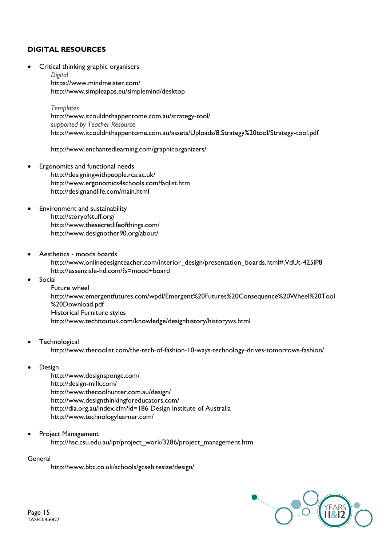# **DIGITAL RESOURCES**

Critical thinking graphic organisers

*Digital* <https://www.mindmeister.com/> <http://www.simpleapps.eu/simplemind/desktop>

*Templates* <http://www.itcouldnthappentome.com.au/strategy-tool/> *supported by Teacher Resource* <http://www.itcouldnthappentome.com.au/assets/Uploads/8.Strategy%20tool/Strategy-tool.pdf>

<http://www.enchantedlearning.com/graphicorganizers/>

- Ergonomics and functional needs <http://designingwithpeople.rca.ac.uk/> <http://www.ergonomics4schools.com/faqlist.htm> http://designandlife.com/main.html
- Environment and sustainability <http://storyofstuff.org/> <http://www.thesecretlifeofthings.com/> <http://www.designother90.org/about/>
- Aesthetics moods boards [http://www.onlinedesignteacher.com/interior\\_design/presentation\\_boards.html#.VdUt-425iP8](http://www.onlinedesignteacher.com/interior_design/presentation_boards.html#.VdUt-425iP8) <http://essenziale-hd.com/?s=mood+board>
- Social

Future wheel [http://www.emergentfutures.com/wpdl/Emergent%20Futures%20Consequence%20Wheel%20Tool](http://www.emergentfutures.com/wpdl/Emergent%20Futures%20Consequence%20Wheel%20Tool%20Download.pdf) [%20Download.pdf](http://www.emergentfutures.com/wpdl/Emergent%20Futures%20Consequence%20Wheel%20Tool%20Download.pdf) Historical Furniture styles http://www.techitoutuk.com/knowledge/designhistory/historyws.html

- **Technological** <http://www.thecoolist.com/the-tech-of-fashion-10-ways-technology-drives-tomorrows-fashion/>
- Design

<http://www.designsponge.com/> <http://design-milk.com/> <http://www.thecoolhunter.com.au/design/> <http://www.designthinkingforeducators.com/> <http://dia.org.au/index.cfm?id=186> Design Institute of Australia http://www.technologylearner.com/

 Project Management [http://hsc.csu.edu.au/ipt/project\\_work/3286/project\\_management.htm](http://hsc.csu.edu.au/ipt/project_work/3286/project_management.htm)

General

<http://www.bbc.co.uk/schools/gcsebitesize/design/>

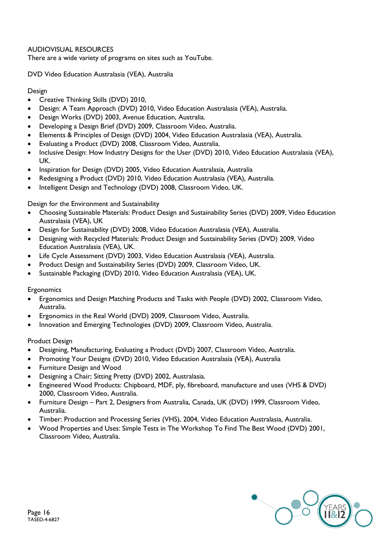# AUDIOVISUAL RESOURCES

There are a wide variety of programs on sites such as YouTube.

DVD Video Education Australasia (VEA), Australia

# Design

- Creative Thinking Skills (DVD) 2010,
- Design: A Team Approach (DVD) 2010, Video Education Australasia (VEA), Australia.
- Design Works (DVD) 2003, Avenue Education, Australia.
- Developing a Design Brief (DVD) 2009, Classroom Video, Australia.
- Elements & Principles of Design (DVD) 2004, Video Education Australasia (VEA), Australia.
- Evaluating a Product (DVD) 2008, Classroom Video, Australia.
- Inclusive Design: How Industry Designs for the User (DVD) 2010, Video Education Australasia (VEA), UK.
- Inspiration for Design (DVD) 2005, Video Education Australasia, Australia
- Redesigning a Product (DVD) 2010, Video Education Australasia (VEA), Australia.
- Intelligent Design and Technology (DVD) 2008, Classroom Video, UK.

# Design for the Environment and Sustainability

- Choosing Sustainable Materials: Product Design and Sustainability Series (DVD) 2009, Video Education Australasia (VEA), UK
- Design for Sustainability (DVD) 2008, Video Education Australasia (VEA), Australia.
- Designing with Recycled Materials: Product Design and Sustainability Series (DVD) 2009, Video Education Australasia (VEA), UK.
- Life Cycle Assessment (DVD) 2003, Video Education Australasia (VEA), Australia.
- Product Design and Sustainability Series (DVD) 2009, Classroom Video, UK.
- Sustainable Packaging (DVD) 2010, Video Education Australasia (VEA), UK.

### **Ergonomics**

- Ergonomics and Design Matching Products and Tasks with People (DVD) 2002, Classroom Video, Australia.
- Ergonomics in the Real World (DVD) 2009, Classroom Video, Australia.
- Innovation and Emerging Technologies (DVD) 2009, Classroom Video, Australia.

### Product Design

- Designing, Manufacturing, Evaluating a Product (DVD) 2007, Classroom Video, Australia.
- Promoting Your Designs (DVD) 2010, Video Education Australasia (VEA), Australia
- Furniture Design and Wood
- Designing a Chair; Sitting Pretty (DVD) 2002, Australasia.
- Engineered Wood Products: Chipboard, MDF, ply, fibreboard, manufacture and uses (VHS & DVD) 2000, Classroom Video, Australia.
- Furniture Design Part 2, Designers from Australia, Canada, UK (DVD) 1999, Classroom Video, Australia.
- Timber: Production and Processing Series (VHS), 2004, Video Education Australasia, Australia.
- Wood Properties and Uses: Simple Tests in The Workshop To Find The Best Wood (DVD) 2001, Classroom Video, Australia.